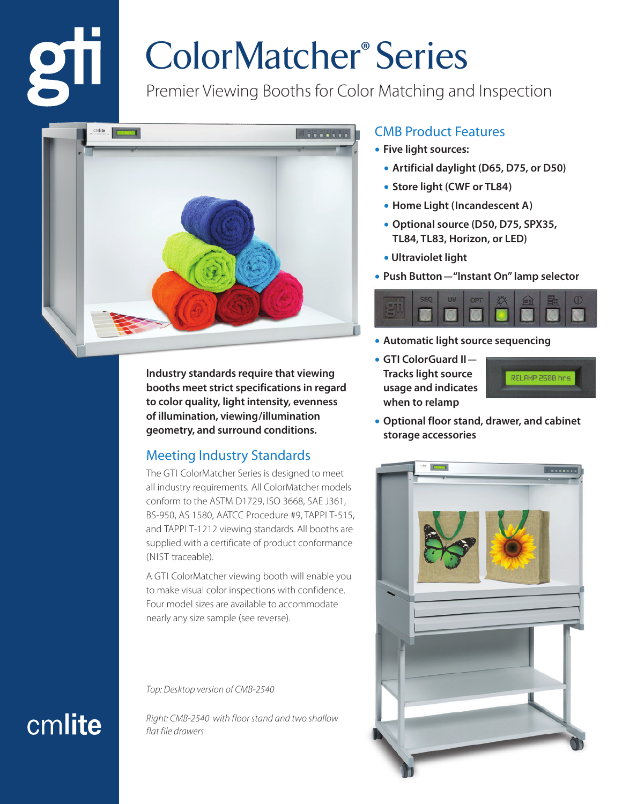## ColorMatcher® Series

Premier Viewing Booths for Color Matching and Inspection



**Industry standards require that viewing booths meet strict specifications in regard to color quality, light intensity, evenness of illumination, viewing/illumination geometry, and surround conditions.**

## Meeting Industry Standards

The GTI ColorMatcher Series is designed to meet all industry requirements. All ColorMatcher models conform to the ASTM D1729, ISO 3668, SAE J361, BS-950, AS 1580, AATCC Procedure #9, TAPPI T-515, and TAPPI T-1212 viewing standards. All booths are supplied with a certificate of product conformance (NIST traceable).

A GTI ColorMatcher viewing booth will enable you to make visual color inspections with confidence. Four model sizes are available to accommodate nearly any size sample (see reverse).

*Top: Desktop version of CMB-2540*

*Right: CMB-2540 with floor stand and two shallow flat file drawers*

#### CMB Product Features

- **Five light sources:**
	- **Artificial daylight (D65, D75, or D50)**
	- **Store light (CWF or TL84)**
	- **Home Light (Incandescent A)**
	- **Optional source (D50, D75, SPX35, TL84, TL83, Horizon, or LED)**
	- **Ultraviolet light**
- **Push Button—"Instant On" lamp selector**



- **Automatic light source sequencing**
- **GTI ColorGuard II— Tracks light source usage and indicates when to relamp**



**• Optional floor stand, drawer, and cabinet storage accessories**



## cmlite